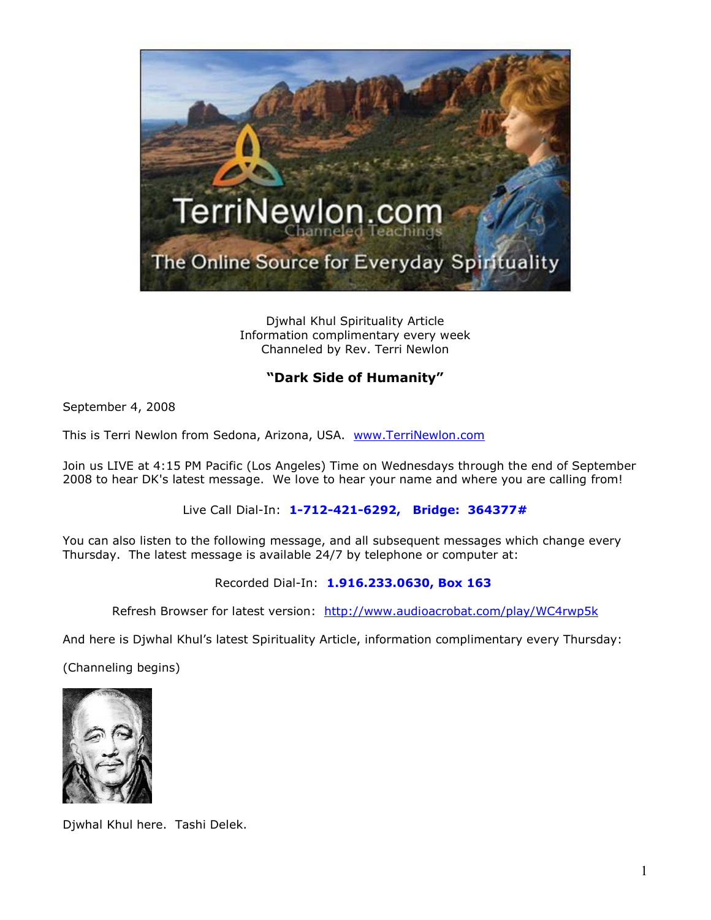

Djwhal Khul Spirituality Article Information complimentary every week Channeled by Rev. Terri Newlon

## **"Dark Side of Humanity"**

September 4, 2008

This is Terri Newlon from Sedona, Arizona, USA. [www.TerriNewlon.com](http://www.terrinewlon.com/)

Join us LIVE at 4:15 PM Pacific (Los Angeles) Time on Wednesdays through the end of September 2008 to hear DK's latest message. We love to hear your name and where you are calling from!

Live Call Dial-In: **1-712-421-6292, Bridge: 364377#**

You can also listen to the following message, and all subsequent messages which change every Thursday. The latest message is available 24/7 by telephone or computer at:

Recorded Dial-In: **1.916.233.0630, Box 163**

Refresh Browser for latest version: <http://www.audioacrobat.com/play/WC4rwp5k>

And here is Djwhal Khul's latest Spirituality Article, information complimentary every Thursday:

(Channeling begins)



Djwhal Khul here. Tashi Delek.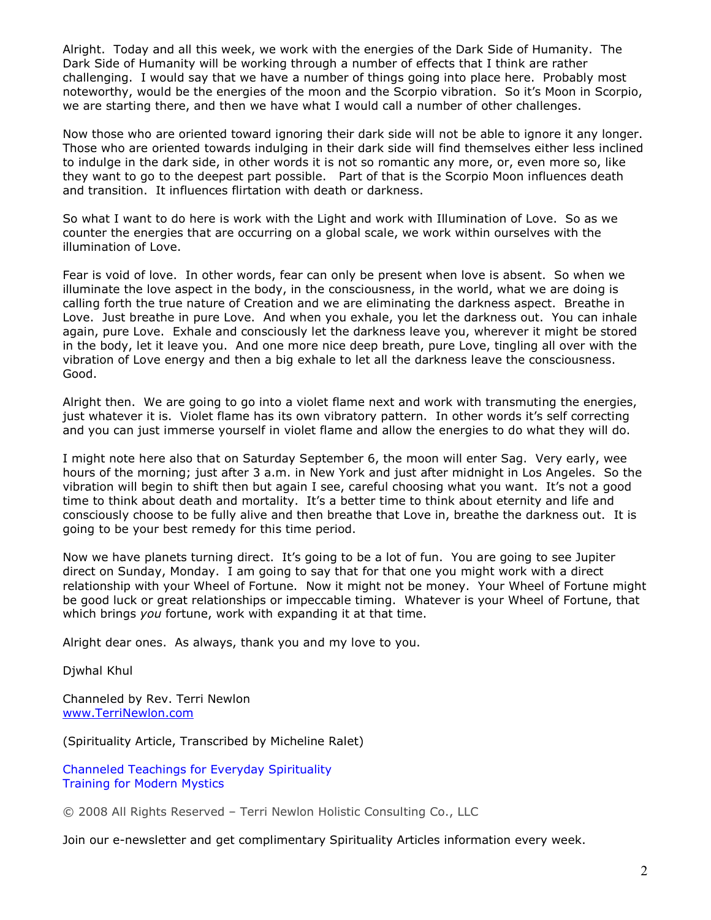Alright. Today and all this week, we work with the energies of the Dark Side of Humanity. The Dark Side of Humanity will be working through a number of effects that I think are rather challenging. I would say that we have a number of things going into place here. Probably most noteworthy, would be the energies of the moon and the Scorpio vibration. So it's Moon in Scorpio, we are starting there, and then we have what I would call a number of other challenges.

Now those who are oriented toward ignoring their dark side will not be able to ignore it any longer. Those who are oriented towards indulging in their dark side will find themselves either less inclined to indulge in the dark side, in other words it is not so romantic any more, or, even more so, like they want to go to the deepest part possible. Part of that is the Scorpio Moon influences death and transition. It influences flirtation with death or darkness.

So what I want to do here is work with the Light and work with Illumination of Love. So as we counter the energies that are occurring on a global scale, we work within ourselves with the illumination of Love.

Fear is void of love. In other words, fear can only be present when love is absent. So when we illuminate the love aspect in the body, in the consciousness, in the world, what we are doing is calling forth the true nature of Creation and we are eliminating the darkness aspect. Breathe in Love. Just breathe in pure Love. And when you exhale, you let the darkness out. You can inhale again, pure Love. Exhale and consciously let the darkness leave you, wherever it might be stored in the body, let it leave you. And one more nice deep breath, pure Love, tingling all over with the vibration of Love energy and then a big exhale to let all the darkness leave the consciousness. Good.

Alright then. We are going to go into a violet flame next and work with transmuting the energies, just whatever it is. Violet flame has its own vibratory pattern. In other words it's self correcting and you can just immerse yourself in violet flame and allow the energies to do what they will do.

I might note here also that on Saturday September 6, the moon will enter Sag. Very early, wee hours of the morning; just after 3 a.m. in New York and just after midnight in Los Angeles. So the vibration will begin to shift then but again I see, careful choosing what you want. It's not a good time to think about death and mortality. It's a better time to think about eternity and life and consciously choose to be fully alive and then breathe that Love in, breathe the darkness out. It is going to be your best remedy for this time period.

Now we have planets turning direct. It's going to be a lot of fun. You are going to see Jupiter direct on Sunday, Monday. I am going to say that for that one you might work with a direct relationship with your Wheel of Fortune. Now it might not be money. Your Wheel of Fortune might be good luck or great relationships or impeccable timing. Whatever is your Wheel of Fortune, that which brings *you* fortune, work with expanding it at that time.

Alright dear ones. As always, thank you and my love to you.

Djwhal Khul

Channeled by Rev. Terri Newlon [www.TerriNewlon.com](http://www.terrinewlon.com/)

(Spirituality Article, Transcribed by Micheline Ralet)

[Channeled Teachings for Everyday Spirituality](http://www.terrinewlon.com/) Training for Modern Mystics

© 2008 All Rights Reserved – Terri Newlon Holistic Consulting Co., LLC

Join our e-newsletter and get complimentary Spirituality Articles information every week.